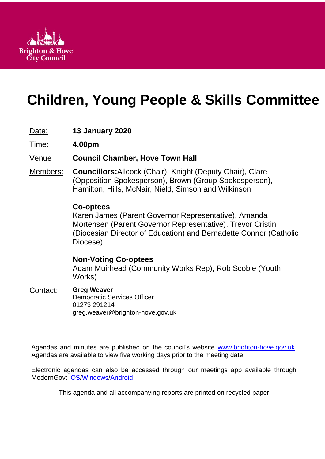

# **Children, Young People & Skills Committee**

# Date: **13 January 2020**

Time: **4.00pm**

# Venue **Council Chamber, Hove Town Hall**

Members: **Councillors:**Allcock (Chair), Knight (Deputy Chair), Clare (Opposition Spokesperson), Brown (Group Spokesperson), Hamilton, Hills, McNair, Nield, Simson and Wilkinson

# **Co-optees**

Karen James (Parent Governor Representative), Amanda Mortensen (Parent Governor Representative), Trevor Cristin (Diocesian Director of Education) and Bernadette Connor (Catholic Diocese)

# **Non-Voting Co-optees**

Adam Muirhead (Community Works Rep), Rob Scoble (Youth Works)

# Contact: **Greg Weaver**

Democratic Services Officer 01273 291214 greg.weaver@brighton-hove.gov.uk

Agendas and minutes are published on the council's website [www.brighton-hove.gov.uk.](http://www.brighton-hove.gov.uk/) Agendas are available to view five working days prior to the meeting date.

Electronic agendas can also be accessed through our meetings app available through ModernGov: [iOS](https://play.google.com/store/apps/details?id=uk.co.moderngov.modgov&hl=en_GB)[/Windows/](https://www.microsoft.com/en-gb/p/modgov/9nblggh0c7s7#activetab=pivot:overviewtab)[Android](https://play.google.com/store/apps/details?id=uk.co.moderngov.modgov&hl=en_GB)

This agenda and all accompanying reports are printed on recycled paper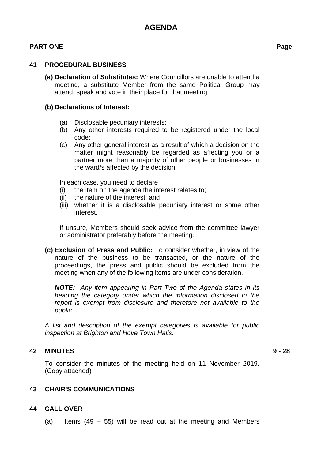#### **PART ONE Page**

#### **41 PROCEDURAL BUSINESS**

**(a) Declaration of Substitutes:** Where Councillors are unable to attend a meeting, a substitute Member from the same Political Group may attend, speak and vote in their place for that meeting.

#### **(b) Declarations of Interest:**

- (a) Disclosable pecuniary interests;
- (b) Any other interests required to be registered under the local code;
- (c) Any other general interest as a result of which a decision on the matter might reasonably be regarded as affecting you or a partner more than a majority of other people or businesses in the ward/s affected by the decision.

In each case, you need to declare

- (i) the item on the agenda the interest relates to;
- (ii) the nature of the interest; and
- (iii) whether it is a disclosable pecuniary interest or some other interest.

If unsure, Members should seek advice from the committee lawyer or administrator preferably before the meeting.

**(c) Exclusion of Press and Public:** To consider whether, in view of the nature of the business to be transacted, or the nature of the proceedings, the press and public should be excluded from the meeting when any of the following items are under consideration.

*NOTE: Any item appearing in Part Two of the Agenda states in its heading the category under which the information disclosed in the report is exempt from disclosure and therefore not available to the public.*

*A list and description of the exempt categories is available for public inspection at Brighton and Hove Town Halls.*

#### **42 MINUTES 9 - 28**

To consider the minutes of the meeting held on 11 November 2019. (Copy attached)

#### **43 CHAIR'S COMMUNICATIONS**

#### **44 CALL OVER**

(a) Items  $(49 - 55)$  will be read out at the meeting and Members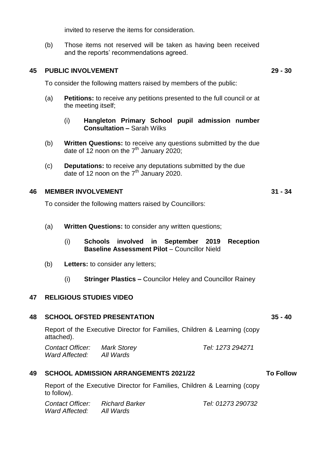invited to reserve the items for consideration.

(b) Those items not reserved will be taken as having been received and the reports' recommendations agreed.

#### **45 PUBLIC INVOLVEMENT 29 - 30**

To consider the following matters raised by members of the public:

- (a) **Petitions:** to receive any petitions presented to the full council or at the meeting itself;
	- (i) **Hangleton Primary School pupil admission number Consultation –** Sarah Wilks
- (b) **Written Questions:** to receive any questions submitted by the due date of 12 noon on the  $7<sup>th</sup>$  January 2020;
- (c) **Deputations:** to receive any deputations submitted by the due date of 12 noon on the 7<sup>th</sup> January 2020.

#### **46 MEMBER INVOLVEMENT 31 - 34**

To consider the following matters raised by Councillors:

- (a) **Written Questions:** to consider any written questions;
	- (i) **Schools involved in September 2019 Reception Baseline Assessment Pilot** – Councillor Nield
- (b) **Letters:** to consider any letters;
	- (i) **Stringer Plastics –** Councilor Heley and Councillor Rainey

#### **47 RELIGIOUS STUDIES VIDEO**

#### **48 SCHOOL OFSTED PRESENTATION 35 - 40**

Report of the Executive Director for Families, Children & Learning (copy attached).

| Contact Officer: | <b>Mark Storey</b> | Tel: 1273 294271 |
|------------------|--------------------|------------------|
| Ward Affected:   | All Wards          |                  |

### **49 SCHOOL ADMISSION ARRANGEMENTS 2021/22 To Follow**

Report of the Executive Director for Families, Children & Learning (copy to follow).

*Contact Officer: Richard Barker Tel: 01273 290732 Ward Affected: All Wards*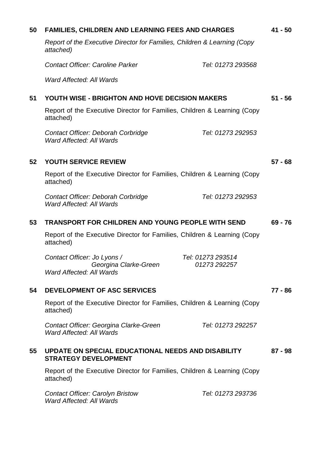| 50 | <b>FAMILIES, CHILDREN AND LEARNING FEES AND CHARGES</b>                                                              |                   | $41 - 50$ |  |
|----|----------------------------------------------------------------------------------------------------------------------|-------------------|-----------|--|
|    | Report of the Executive Director for Families, Children & Learning (Copy<br>attached)                                |                   |           |  |
|    | <b>Contact Officer: Caroline Parker</b>                                                                              | Tel: 01273 293568 |           |  |
|    | <b>Ward Affected: All Wards</b>                                                                                      |                   |           |  |
| 51 | <b>YOUTH WISE - BRIGHTON AND HOVE DECISION MAKERS</b>                                                                |                   |           |  |
|    | Report of the Executive Director for Families, Children & Learning (Copy<br>attached)                                |                   |           |  |
|    | <b>Contact Officer: Deborah Corbridge</b><br><b>Ward Affected: All Wards</b>                                         | Tel: 01273 292953 |           |  |
| 52 | YOUTH SERVICE REVIEW                                                                                                 |                   | $57 - 68$ |  |
|    | Report of the Executive Director for Families, Children & Learning (Copy<br>attached)                                |                   |           |  |
|    | Contact Officer: Deborah Corbridge<br><b>Ward Affected: All Wards</b>                                                | Tel: 01273 292953 |           |  |
| 53 | <b>TRANSPORT FOR CHILDREN AND YOUNG PEOPLE WITH SEND</b>                                                             |                   | $69 - 76$ |  |
|    | Report of the Executive Director for Families, Children & Learning (Copy<br>attached)                                |                   |           |  |
|    | Contact Officer: Jo Lyons /<br>Tel: 01273 293514<br>Georgina Clarke-Green<br>01273292257<br>Ward Affected: All Wards |                   |           |  |
| 54 | DEVELOPMENT OF ASC SERVICES                                                                                          |                   | 77 - 86   |  |
|    | Report of the Executive Director for Families, Children & Learning (Copy<br>attached)                                |                   |           |  |
|    | Contact Officer: Georgina Clarke-Green<br><b>Ward Affected: All Wards</b>                                            | Tel: 01273 292257 |           |  |
| 55 | UPDATE ON SPECIAL EDUCATIONAL NEEDS AND DISABILITY<br><b>STRATEGY DEVELOPMENT</b>                                    |                   | $87 - 98$ |  |
|    | Report of the Executive Director for Families, Children & Learning (Copy<br>attached)                                |                   |           |  |
|    | <b>Contact Officer: Carolyn Bristow</b><br><b>Ward Affected: All Wards</b>                                           | Tel: 01273 293736 |           |  |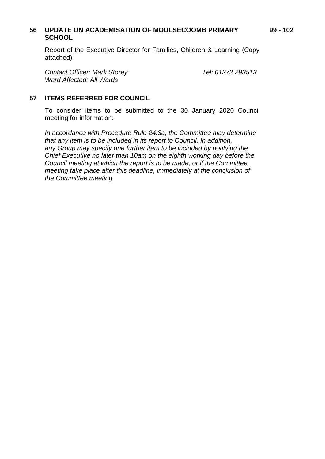#### **56 UPDATE ON ACADEMISATION OF MOULSECOOMB PRIMARY SCHOOL**

Report of the Executive Director for Families, Children & Learning (Copy attached)

Contact Officer: Mark Storey Tel: 01273 293513 *Ward Affected: All Wards*

#### **57 ITEMS REFERRED FOR COUNCIL**

To consider items to be submitted to the 30 January 2020 Council meeting for information.

*In accordance with Procedure Rule 24.3a, the Committee may determine that any item is to be included in its report to Council. In addition, any Group may specify one further item to be included by notifying the Chief Executive no later than 10am on the eighth working day before the Council meeting at which the report is to be made, or if the Committee meeting take place after this deadline, immediately at the conclusion of the Committee meeting*